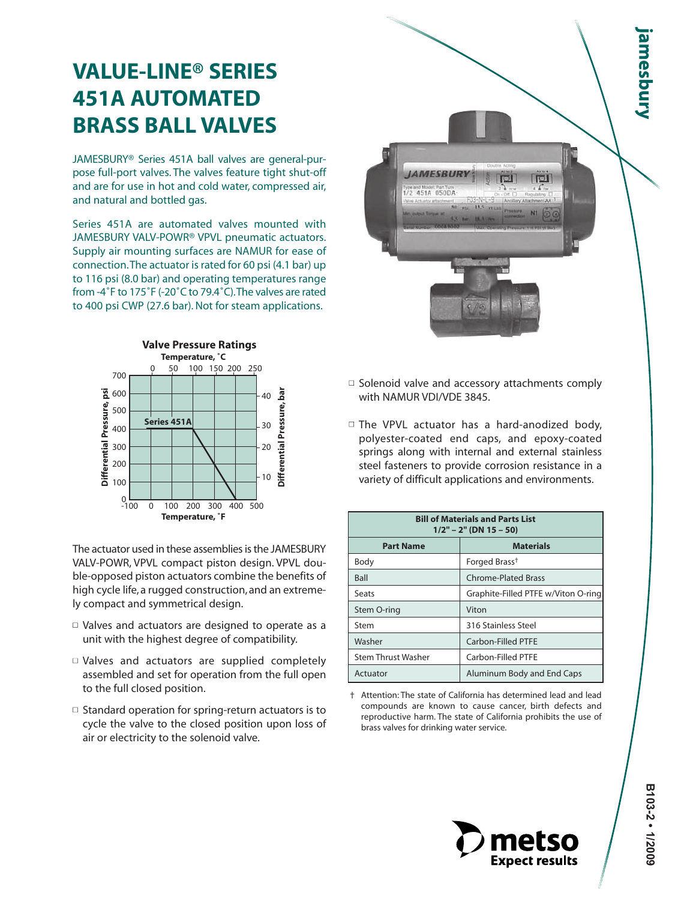## **VALUE-LINE® SERIES 451A AUTOMATED BRASS BALL VALVES**

JAMESBURY® Series 451A ball valves are general-purpose full-port valves. The valves feature tight shut-off and are for use in hot and cold water, compressed air, and natural and bottled gas.

Series 451A are automated valves mounted with JAMESBURY VALV-POWR® VPVL pneumatic actuators. Supply air mounting surfaces are NAMUR for ease of connection.The actuator is rated for 60 psi (4.1 bar) up to 116 psi (8.0 bar) and operating temperatures range from -4˚F to 175˚F (-20˚C to 79.4˚C).The valves are rated to 400 psi CWP (27.6 bar). Not for steam applications.



The actuator used in these assemblies is the JAMESBURY VALV-POWR, VPVL compact piston design. VPVL double-opposed piston actuators combine the benefits of high cycle life, a rugged construction, and an extremely compact and symmetrical design.

- $\Box$  Valves and actuators are designed to operate as a unit with the highest degree of compatibility.
- Valves and actuators are supplied completely assembled and set for operation from the full open to the full closed position.
- $\square$  Standard operation for spring-return actuators is to cycle the valve to the closed position upon loss of air or electricity to the solenoid valve.
- **Jamesbury JAMESBUR** 1/2 451A 050DA
- $\Box$  Solenoid valve and accessory attachments comply with NAMUR VDI/VDE 3845.
- $\Box$  The VPVL actuator has a hard-anodized body, polyester-coated end caps, and epoxy-coated springs along with internal and external stainless steel fasteners to provide corrosion resistance in a variety of difficult applications and environments.

| <b>Bill of Materials and Parts List</b><br>$1/2" - 2"$ (DN 15 - 50) |                                     |  |  |  |  |  |
|---------------------------------------------------------------------|-------------------------------------|--|--|--|--|--|
| <b>Part Name</b>                                                    | <b>Materials</b>                    |  |  |  |  |  |
| Body                                                                | Forged Brass <sup>†</sup>           |  |  |  |  |  |
| <b>Ball</b>                                                         | <b>Chrome-Plated Brass</b>          |  |  |  |  |  |
| Seats                                                               | Graphite-Filled PTFE w/Viton O-ring |  |  |  |  |  |
| Stem O-ring                                                         | Viton                               |  |  |  |  |  |
| Stem                                                                | 316 Stainless Steel                 |  |  |  |  |  |
| Washer                                                              | Carbon-Filled PTFE                  |  |  |  |  |  |
| <b>Stem Thrust Washer</b>                                           | Carbon-Filled PTFE                  |  |  |  |  |  |
| Actuator                                                            | Aluminum Body and End Caps          |  |  |  |  |  |

<sup>†</sup> Attention: The state of California has determined lead and lead compounds are known to cause cancer, birth defects and reproductive harm. The state of California prohibits the use of brass valves for drinking water service.